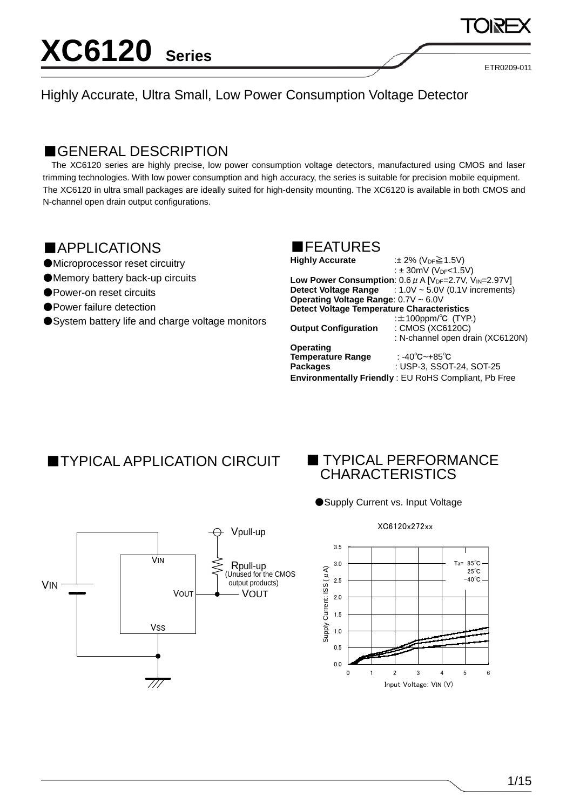ETR0209-011

#### Highly Accurate, Ultra Small, Low Power Consumption Voltage Detector

### ■GENERAL DESCRIPTION

The XC6120 series are highly precise, low power consumption voltage detectors, manufactured using CMOS and laser trimming technologies. With low power consumption and high accuracy, the series is suitable for precision mobile equipment. The XC6120 in ultra small packages are ideally suited for high-density mounting. The XC6120 is available in both CMOS and N-channel open drain output configurations.

### ■APPLICATIONS

- ●Microprocessor reset circuitry
- ●Memory battery back-up circuits
- ●Power-on reset circuits
- Power failure detection
- System battery life and charge voltage monitors



| <b>Highly Accurate</b>                            | :± 2% (V <sub>DF</sub> ≧ 1.5V)                                                     |
|---------------------------------------------------|------------------------------------------------------------------------------------|
|                                                   | : $\pm$ 30mV (V <sub>DF</sub> <1.5V)                                               |
|                                                   | Low Power Consumption: $0.6 \mu$ A [V <sub>DF</sub> =2.7V, V <sub>IN</sub> =2.97V] |
|                                                   | <b>Detect Voltage Range</b> $: 1.0V \sim 5.0V$ (0.1V increments)                   |
| Operating Voltage Range: 0.7V ~ 6.0V              |                                                                                    |
| <b>Detect Voltage Temperature Characteristics</b> |                                                                                    |
|                                                   | : $\pm$ 100ppm/°C (TYP.)                                                           |
| <b>Output Configuration</b>                       | : CMOS (XC6120C)                                                                   |
|                                                   | : N-channel open drain (XC6120N)                                                   |
| Operating                                         |                                                                                    |
| <b>Temperature Range</b>                          | : -40℃~+85℃                                                                        |
| <b>Packages</b>                                   | : USP-3, SSOT-24, SOT-25                                                           |
|                                                   | Environmentally Friendly: EU RoHS Compliant, Pb Free                               |
|                                                   |                                                                                    |

### ■TYPICAL APPLICATION CIRCUIT ■ TYPICAL PERFORMANCE

# CHARACTERISTICS

● Supply Current vs. Input Voltage



#### XC6120x272xx

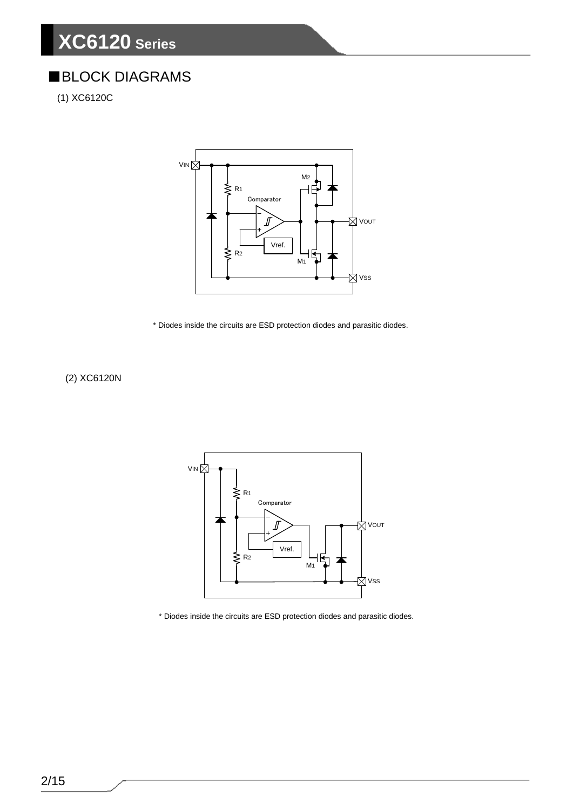### ■BLOCK DIAGRAMS

(1) XC6120C



\* Diodes inside the circuits are ESD protection diodes and parasitic diodes.

(2) XC6120N



\* Diodes inside the circuits are ESD protection diodes and parasitic diodes.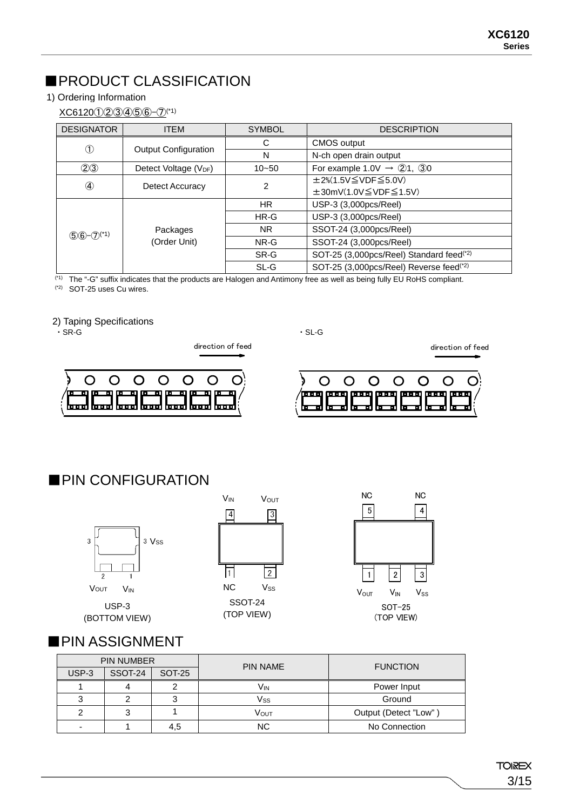### ■PRODUCT CLASSIFICATION

#### 1) Ordering Information

#### XC6120①②③④⑤⑥-⑦(\*1)

| <b>DESIGNATOR</b>          | <b>ITEM</b>                       | <b>SYMBOL</b>  | <b>DESCRIPTION</b>                                   |
|----------------------------|-----------------------------------|----------------|------------------------------------------------------|
| $\circled{1}$              |                                   | C              | CMOS output                                          |
|                            | <b>Output Configuration</b>       | N              | N-ch open drain output                               |
| (2)3                       | Detect Voltage (V <sub>DF</sub> ) | $10 - 50$      | For example 1.0V $\rightarrow$ 21, 30                |
| $^{\circledA}$             | Detect Accuracy                   | $\overline{2}$ | $\pm 2\%$ (1.5V $\leq$ VDF $\leq$ 5.0V)              |
|                            |                                   |                | $\pm 30$ mV(1.0V $\leq$ VDF $\leq$ 1.5V)             |
|                            |                                   |                | USP-3 (3,000pcs/Reel)                                |
|                            |                                   | $HR-G$         | USP-3 (3,000pcs/Reel)                                |
| $(5)6-(7)$ <sup>(*1)</sup> | Packages                          | NR.            | SSOT-24 (3,000pcs/Reel)                              |
|                            | (Order Unit)                      | NR-G           | SSOT-24 (3,000pcs/Reel)                              |
|                            |                                   | SR-G           | SOT-25 (3,000pcs/Reel) Standard feed <sup>(*2)</sup> |
|                            |                                   | SL-G           | SOT-25 (3,000pcs/Reel) Reverse feed <sup>(*2)</sup>  |

<sup>(1)</sup> The "-G" suffix indicates that the products are Halogen and Antimony free as well as being fully EU RoHS compliant.

(\*2) SOT-25 uses Cu wires.

## 2) Taping Specifications<br>
SR-G

 $\cdot$  SR-G  $\cdot$  SR-G

direction of feed direction of feed direction of feed

 $\overline{O}$  $\overline{O}$  $\overline{O}$  $\bigcirc$  $\bigcirc$  $\bigcirc$ O ᇳᅋ 'nг 피 며 ता ।त m 面 क क m m <u>laad laad laad laad laad laad laa</u>



### ■PIN CONFIGURATION



USP-3

(BOTTOM VIEW)



SSOT-24 (TOP VIEW)



### ■PIN ASSIGNMENT

|       | <b>PIN NUMBER</b> |        | <b>PIN NAME</b>  | <b>FUNCTION</b>       |  |  |
|-------|-------------------|--------|------------------|-----------------------|--|--|
| USP-3 | SSOT-24           | SOT-25 |                  |                       |  |  |
|       |                   |        | Vın              | Power Input           |  |  |
| 3     |                   |        | Vss              | Ground                |  |  |
| っ     |                   |        | V <sub>OUT</sub> | Output (Detect "Low") |  |  |
| ٠     |                   | 4,5    | <b>NC</b>        | No Connection         |  |  |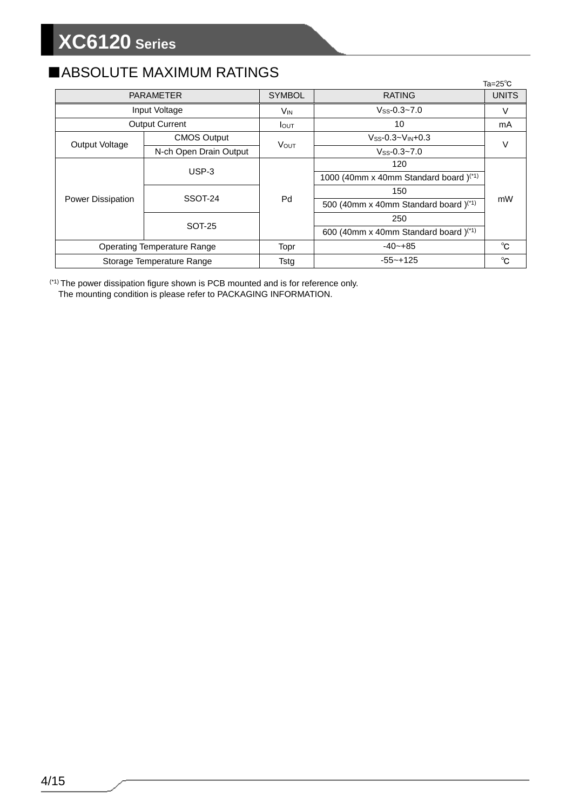### ■ABSOLUTE MAXIMUM RATINGS

|                                    |                        |                  |                                                   | $Ta = 25^\circ C$ |  |
|------------------------------------|------------------------|------------------|---------------------------------------------------|-------------------|--|
| <b>PARAMETER</b>                   |                        | <b>SYMBOL</b>    | <b>RATING</b>                                     | <b>UNITS</b>      |  |
|                                    | Input Voltage          | V <sub>IN</sub>  | $V$ ss-0.3~7.0                                    | v                 |  |
|                                    | <b>Output Current</b>  | $I_{\text{OUT}}$ | 10                                                | mA                |  |
|                                    | <b>CMOS Output</b>     | <b>VOUT</b>      | $V$ ss-0.3~ $V$ <sub>IN</sub> +0.3                |                   |  |
| Output Voltage                     | N-ch Open Drain Output |                  | $V_{SS} - 0.3 - 7.0$                              | V                 |  |
|                                    | $USP-3$                | Pd               | 120                                               |                   |  |
|                                    |                        |                  | 1000 (40mm x 40mm Standard board) <sup>(*1)</sup> |                   |  |
|                                    | SSOT-24                |                  | 150                                               |                   |  |
| <b>Power Dissipation</b>           |                        |                  | 500 (40mm x 40mm Standard board) <sup>(*1)</sup>  | mW                |  |
|                                    | <b>SOT-25</b>          |                  | 250                                               |                   |  |
|                                    |                        |                  | 600 (40mm x 40mm Standard board) <sup>(*1)</sup>  |                   |  |
| <b>Operating Temperature Range</b> |                        | Topr             | $-40 - +85$                                       | $^{\circ}C$       |  |
| Storage Temperature Range          |                        | Tstg             | $-55 - +125$                                      | °C                |  |

(\*1) The power dissipation figure shown is PCB mounted and is for reference only. The mounting condition is please refer to PACKAGING INFORMATION.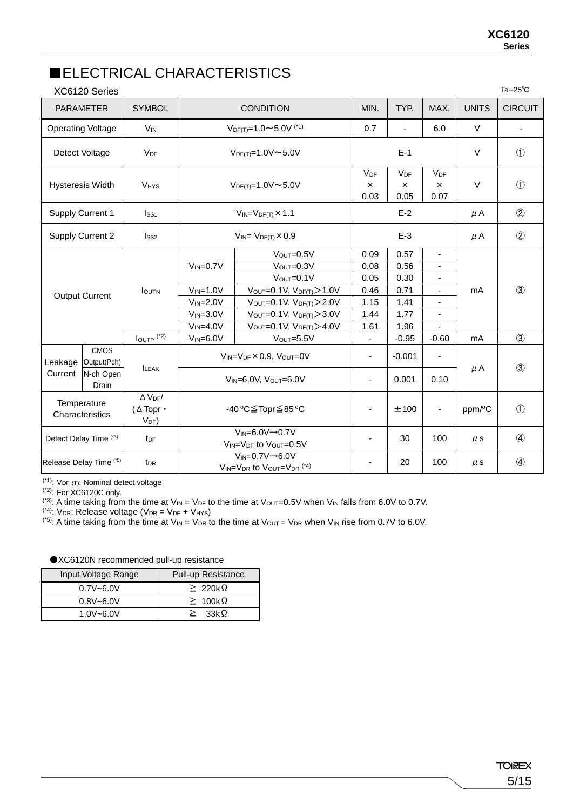### ■ELECTRICAL CHARACTERISTICS

|                       | XC6120 Series                      |                                                           | Ta=25 $^\circ$ C                                      |                                                                                        |                              |                              |                                                              |               |                |
|-----------------------|------------------------------------|-----------------------------------------------------------|-------------------------------------------------------|----------------------------------------------------------------------------------------|------------------------------|------------------------------|--------------------------------------------------------------|---------------|----------------|
|                       | <b>PARAMETER</b>                   | <b>SYMBOL</b>                                             |                                                       | <b>CONDITION</b>                                                                       | MIN.                         | TYP.                         | MAX.                                                         | <b>UNITS</b>  | <b>CIRCUIT</b> |
|                       | <b>Operating Voltage</b>           | <b>V<sub>IN</sub></b>                                     |                                                       | $V_{DF(T)} = 1.0 \sim 5.0 V$ <sup>(*1)</sup>                                           | 0.7                          | ÷,                           | 6.0                                                          | $\vee$        |                |
|                       | Detect Voltage                     | <b>V<sub>DF</sub></b>                                     |                                                       | $V_{DF(T)} = 1.0 V \sim 5.0 V$                                                         |                              | $E-1$                        |                                                              | $\vee$        | $\circled{1}$  |
|                       | <b>Hysteresis Width</b>            | <b>V<sub>HYS</sub></b>                                    |                                                       | $V_{DF(T)} = 1.0 V \approx 5.0 V$                                                      | $V_{DF}$<br>$\times$<br>0.03 | $V_{DF}$<br>$\times$<br>0.05 | $V_{DF}$<br>$\times$<br>0.07                                 | $\vee$        | $\circled{1}$  |
|                       | <b>Supply Current 1</b>            | Iss <sub>1</sub>                                          |                                                       | $V_{IN} = V_{DF(T)} \times 1.1$                                                        |                              | $E-2$                        |                                                              | $\mu$ A       | $\circled{2}$  |
|                       | Supply Current 2                   | Iss <sub>2</sub>                                          |                                                       | $V_{IN} = V_{DF(T)} \times 0.9$                                                        |                              | $E-3$                        |                                                              | $\mu$ A       | $^{\circledR}$ |
|                       |                                    |                                                           | $V_{IN} = 0.7V$                                       | $V_{\text{OUT}} = 0.5V$<br>$V_{\text{OUT}} = 0.3V$<br>$V_{OUT}=0.1V$                   | 0.09<br>0.08<br>0.05         | 0.57<br>0.56<br>0.30         | $\blacksquare$<br>$\overline{\phantom{a}}$<br>$\blacksquare$ |               |                |
| <b>Output Current</b> | <b>I</b> OUTN                      | $V_{IN} = 1.0V$                                           | $V_{OUT} = 0.1 V, V_{DF(T)} > 1.0 V$                  | 0.46                                                                                   | 0.71                         | $\overline{\phantom{a}}$     | mA                                                           | $\circled{3}$ |                |
|                       |                                    |                                                           | $V_{IN} = 2.0V$<br>$V_{IN}=3.0V$                      | $V_{OUT}=0.1V, V_{DF(T)} > 2.0V$<br>$V_{\text{OUT}} = 0.1 V, V_{\text{DF}}(T) > 3.0 V$ | 1.15<br>1.44                 | 1.41<br>1.77                 | $\overline{\phantom{a}}$<br>$\blacksquare$                   |               |                |
|                       |                                    |                                                           | $V_{IN} = 4.0V$                                       | $V_{\text{OUT}} = 0.1 V, V_{\text{DF}}(T) > 4.0 V$                                     | 1.61                         | 1.96                         |                                                              |               |                |
|                       |                                    | $I_{\text{OUTP}}$ (*2)                                    | $V_{IN}=6.0V$                                         | $V_{OUT}=5.5V$                                                                         | $\frac{1}{2}$                | $-0.95$                      | $-0.60$                                                      | mA            | $\circled{3}$  |
|                       | <b>CMOS</b><br>Leakage Output(Pch) | <b>ILEAK</b>                                              |                                                       | $V_{IN} = V_{DF} \times 0.9$ , $V_{OUT} = 0V$                                          | -                            | $-0.001$                     |                                                              |               | $\circled{3}$  |
| Current               | N-ch Open<br>Drain                 |                                                           | $V_{IN} = 6.0V$ , $V_{OUT} = 6.0V$                    |                                                                                        | $\overline{\phantom{a}}$     | 0.001                        | 0.10                                                         | $\mu$ A       |                |
|                       | Temperature<br>Characteristics     | $\Delta$ V <sub>DF</sub> /<br>(∆Topr •<br>V <sub>DF</sub> | -40 °C≦Topr≦85 °C                                     |                                                                                        |                              | ±100                         |                                                              | ppm/°C        | $\circled{1}$  |
|                       | Detect Delay Time (*3)             | t <sub>DF</sub>                                           | $V_{IN}=6.0V\rightarrow 0.7V$<br>VIN=VDF to VOUT=0.5V |                                                                                        | ٠                            | 30                           | 100                                                          | $\mu$ s       | $\circled{4}$  |
|                       | Release Delay Time (*5)            | t <sub>DR</sub>                                           |                                                       | $V_{IN} = 0.7V \rightarrow 6.0V$<br>VIN=VDR to VOUT=VDR (*4)                           |                              | 20                           | 100                                                          | $\mu$ s       |                |

(\*1): VDF (T): Nominal detect voltage

<sup>(\*2)</sup>: For XC6120C only.

<sup>(\*3)</sup>: A time taking from the time at  $V_{\text{IN}} = V_{\text{DF}}$  to the time at  $V_{\text{OUT}}=0.5V$  when  $V_{\text{IN}}$  falls from 6.0V to 0.7V.

<sup>(\*4)</sup>: V<sub>DR</sub>: Release voltage (V<sub>DR</sub> = V<sub>DF</sub> + V<sub>HYS</sub>)

<sup>(\*5)</sup>: A time taking from the time at V<sub>IN</sub> = V<sub>DR</sub> to the time at V<sub>OUT</sub> = V<sub>DR</sub> when V<sub>IN</sub> rise from 0.7V to 6.0V.

| Input Voltage Range | <b>Pull-up Resistance</b> |
|---------------------|---------------------------|
| $0.7V - 6.0V$       | $\geq 220k\Omega$         |
| $0.8V - 6.0V$       | $\geq 100 \text{k}\Omega$ |
| $1.0V - 6.0V$       | 33k Q<br>$\geq$           |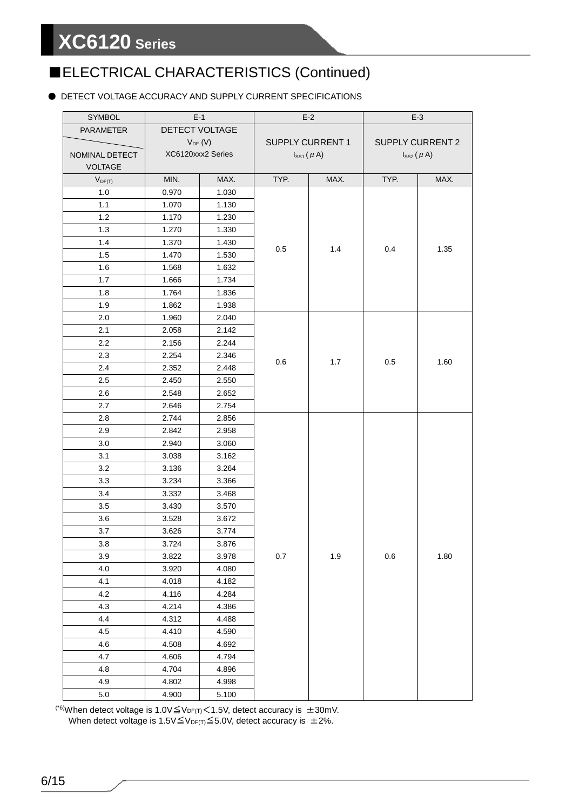### ■ELECTRICAL CHARACTERISTICS (Continued)

#### ● DETECT VOLTAGE ACCURACY AND SUPPLY CURRENT SPECIFICATIONS

| SYMBOL           | $E-1$          |                   | $E-2$                   |                  | $E-3$                   |                  |
|------------------|----------------|-------------------|-------------------------|------------------|-------------------------|------------------|
| <b>PARAMETER</b> | DETECT VOLTAGE |                   |                         |                  |                         |                  |
|                  | $V_{DF}$ (V)   |                   | <b>SUPPLY CURRENT 1</b> |                  | <b>SUPPLY CURRENT 2</b> |                  |
| NOMINAL DETECT   |                | XC6120xxx2 Series |                         | $I_{SS1}(\mu A)$ |                         | $I_{SS2}(\mu A)$ |
| <b>VOLTAGE</b>   |                |                   |                         |                  |                         |                  |
| $V_{DF(T)}$      | MIN.           | MAX.              | TYP.                    | MAX.             | TYP.                    | MAX.             |
| 1.0              | 0.970          | 1.030             |                         |                  |                         |                  |
| 1.1              | 1.070          | 1.130             |                         |                  |                         |                  |
| 1.2              | 1.170          | 1.230             |                         |                  |                         |                  |
| 1.3              | 1.270          | 1.330             |                         |                  |                         |                  |
| 1.4              | 1.370          | 1.430             | 0.5                     | 1.4              | 0.4                     | 1.35             |
| 1.5              | 1.470          | 1.530             |                         |                  |                         |                  |
| 1.6              | 1.568          | 1.632             |                         |                  |                         |                  |
| 1.7              | 1.666          | 1.734             |                         |                  |                         |                  |
| 1.8              | 1.764          | 1.836             |                         |                  |                         |                  |
| 1.9              | 1.862          | 1.938             |                         |                  |                         |                  |
| 2.0              | 1.960          | 2.040             |                         |                  |                         |                  |
| 2.1              | 2.058          | 2.142             |                         |                  |                         |                  |
| $2.2\,$          | 2.156          | 2.244             |                         |                  |                         |                  |
| 2.3              | 2.254          | 2.346             | 0.6                     |                  | 0.5                     | 1.60             |
| 2.4              | 2.352          | 2.448             |                         | 1.7              |                         |                  |
| 2.5              | 2.450          | 2.550             |                         |                  |                         |                  |
| 2.6              | 2.548          | 2.652             |                         |                  |                         |                  |
| 2.7              | 2.646          | 2.754             |                         |                  |                         |                  |
| 2.8              | 2.744          | 2.856             |                         |                  |                         |                  |
| 2.9              | 2.842          | 2.958             |                         |                  |                         |                  |
| 3.0              | 2.940          | 3.060             |                         |                  |                         |                  |
| 3.1              | 3.038          | 3.162             |                         |                  |                         |                  |
| 3.2              | 3.136          | 3.264             |                         |                  |                         |                  |
| 3.3              | 3.234          | 3.366             |                         |                  |                         |                  |
| 3.4              | 3.332          | 3.468             |                         |                  |                         |                  |
| 3.5              | 3.430          | 3.570             |                         |                  |                         |                  |
| 3.6              | 3.528          | 3.672             |                         |                  |                         |                  |
| 3.7              | 3.626          | 3.774             |                         |                  |                         |                  |
| $3.8\,$          | 3.724          | 3.876             |                         |                  |                         |                  |
| 3.9              | 3.822          | 3.978             | 0.7                     | 1.9              | $0.6\,$                 | 1.80             |
| 4.0              | 3.920          | 4.080             |                         |                  |                         |                  |
| 4.1              | 4.018          | 4.182             |                         |                  |                         |                  |
| 4.2              | 4.116          | 4.284             |                         |                  |                         |                  |
| 4.3              | 4.214          | 4.386             |                         |                  |                         |                  |
| 4.4              | 4.312          | 4.488             |                         |                  |                         |                  |
| 4.5              | 4.410          | 4.590             |                         |                  |                         |                  |
| 4.6              | 4.508          | 4.692             |                         |                  |                         |                  |
| 4.7              | 4.606          | 4.794             |                         |                  |                         |                  |
| 4.8              | 4.704          | 4.896             |                         |                  |                         |                  |
| 4.9              | 4.802          | 4.998             |                         |                  |                         |                  |
| $5.0\,$          | 4.900          | 5.100             |                         |                  |                         |                  |

<sup>(\*6)</sup>When detect voltage is 1.0V $\leq$ V<sub>DF(T)</sub> $<$ 1.5V, detect accuracy is  $\pm$ 30mV. When detect voltage is 1.5V $\leq$ V<sub>DF(T)</sub> $\leq$ 5.0V, detect accuracy is  $\pm$ 2%.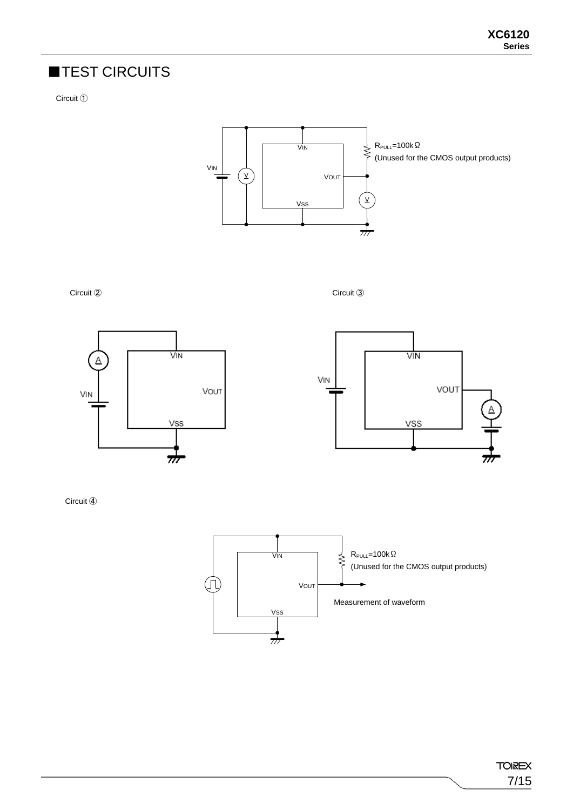### ■TEST CIRCUITS

Circuit ①



Circuit ② Circuit ③





Circuit ④

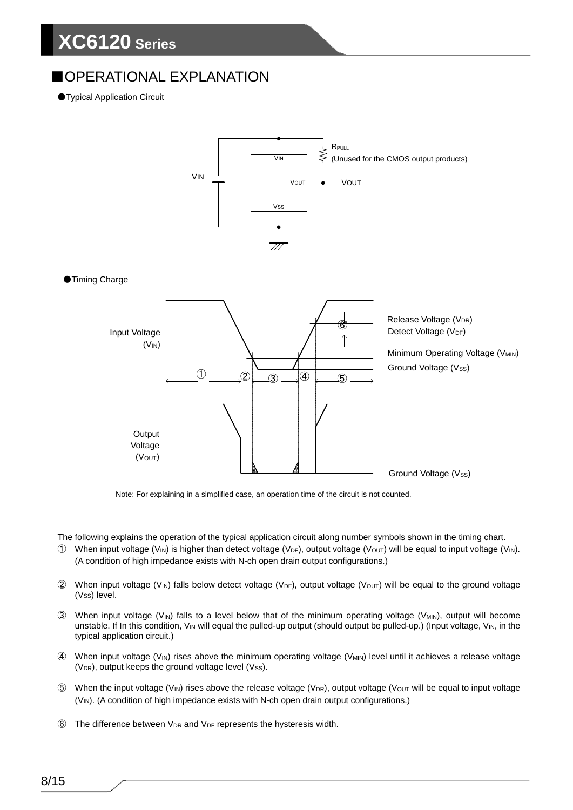### ■OPERATIONAL EXPLANATION

●Typical Application Circuit



Note: For explaining in a simplified case, an operation time of the circuit is not counted.

The following explains the operation of the typical application circuit along number symbols shown in the timing chart.

- ① When input voltage (V<sub>IN</sub>) is higher than detect voltage (V<sub>DF</sub>), output voltage (V<sub>OUT</sub>) will be equal to input voltage (V<sub>IN</sub>). (A condition of high impedance exists with N-ch open drain output configurations.)
- $(2)$  When input voltage (V<sub>IN</sub>) falls below detect voltage (V<sub>DF</sub>), output voltage (V<sub>OUT</sub>) will be equal to the ground voltage (Vss) level.
- 3 When input voltage (V<sub>IN</sub>) falls to a level below that of the minimum operating voltage (V<sub>MIN</sub>), output will become unstable. If In this condition, V<sub>IN</sub> will equal the pulled-up output (should output be pulled-up.) (Input voltage, V<sub>IN</sub>, in the typical application circuit.)
- 4 When input voltage (V<sub>IN</sub>) rises above the minimum operating voltage (V<sub>MIN</sub>) level until it achieves a release voltage ( $V_{DR}$ ), output keeps the ground voltage level ( $V_{SS}$ ).
- $\circledS$  When the input voltage (V<sub>IN</sub>) rises above the release voltage (V<sub>DR</sub>), output voltage (V<sub>OUT</sub> will be equal to input voltage (V<sub>IN</sub>). (A condition of high impedance exists with N-ch open drain output configurations.)
- $\circ$  The difference between V<sub>DR</sub> and V<sub>DF</sub> represents the hysteresis width.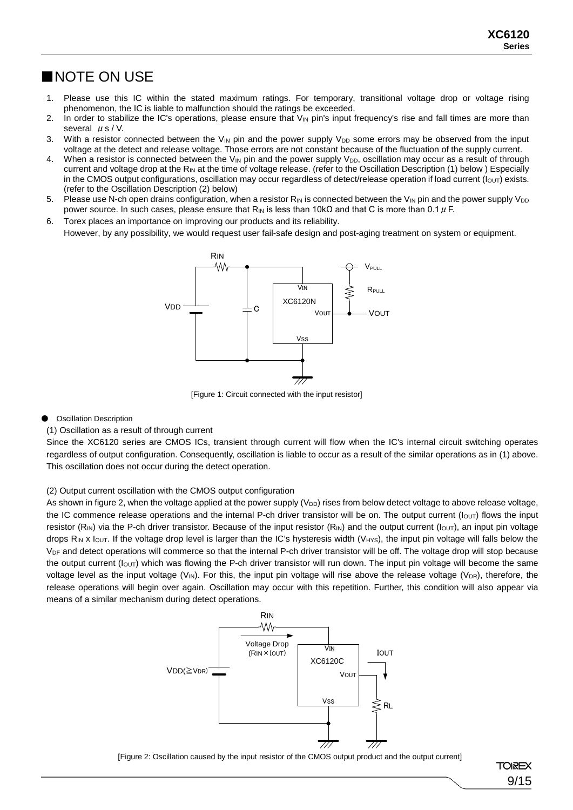#### ■NOTE ON USE

- 1. Please use this IC within the stated maximum ratings. For temporary, transitional voltage drop or voltage rising phenomenon, the IC is liable to malfunction should the ratings be exceeded.
- 2. In order to stabilize the IC's operations, please ensure that V<sub>IN</sub> pin's input frequency's rise and fall times are more than several  $\mu$  s / V.
- 3. With a resistor connected between the V<sub>IN</sub> pin and the power supply V<sub>DD</sub> some errors may be observed from the input voltage at the detect and release voltage. Those errors are not constant because of the fluctuation of the supply current.
- 4. When a resistor is connected between the  $V_{\text{IN}}$  pin and the power supply  $V_{\text{DD}}$ , oscillation may occur as a result of through current and voltage drop at the R<sub>IN</sub> at the time of voltage release. (refer to the Oscillation Description (1) below ) Especially in the CMOS output configurations, oscillation may occur regardless of detect/release operation if load current (lout) exists. (refer to the Oscillation Description (2) below)
- 5. Please use N-ch open drains configuration, when a resistor  $R_{IN}$  is connected between the V<sub>IN</sub> pin and the power supply V<sub>DD</sub> power source. In such cases, please ensure that R<sub>IN</sub> is less than 10kΩ and that C is more than 0.1  $\mu$  F.

6. Torex places an importance on improving our products and its reliability. However, by any possibility, we would request user fail-safe design and post-aging treatment on system or equipment.



[Figure 1: Circuit connected with the input resistor]

#### **Oscillation Description**

#### (1) Oscillation as a result of through current

Since the XC6120 series are CMOS ICs, transient through current will flow when the IC's internal circuit switching operates regardless of output configuration. Consequently, oscillation is liable to occur as a result of the similar operations as in (1) above. This oscillation does not occur during the detect operation.

#### (2) Output current oscillation with the CMOS output configuration

As shown in figure 2, when the voltage applied at the power supply (V<sub>DD</sub>) rises from below detect voltage to above release voltage, the IC commence release operations and the internal P-ch driver transistor will be on. The output current ( $I_{\text{OUT}}$ ) flows the input resistor (R<sub>IN</sub>) via the P-ch driver transistor. Because of the input resistor (R<sub>IN</sub>) and the output current ( $I_{\text{OUT}}$ ), an input pin voltage drops  $R_{IN}$  x lout. If the voltage drop level is larger than the IC's hysteresis width (V<sub>HYS</sub>), the input pin voltage will falls below the V<sub>DF</sub> and detect operations will commerce so that the internal P-ch driver transistor will be off. The voltage drop will stop because the output current ( $I_{\text{OUT}}$ ) which was flowing the P-ch driver transistor will run down. The input pin voltage will become the same voltage level as the input voltage (V<sub>IN</sub>). For this, the input pin voltage will rise above the release voltage (V<sub>DR</sub>), therefore, the release operations will begin over again. Oscillation may occur with this repetition. Further, this condition will also appear via means of a similar mechanism during detect operations.



[Figure 2: Oscillation caused by the input resistor of the CMOS output product and the output current]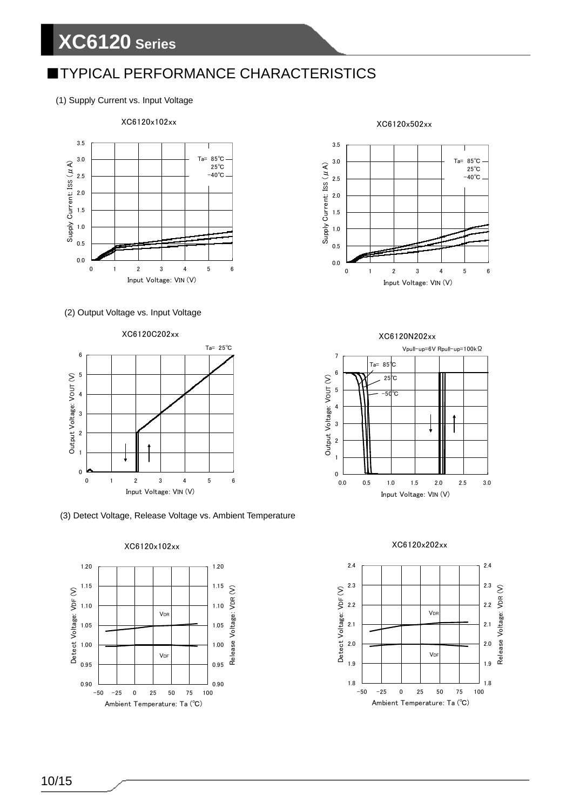### **TYPICAL PERFORMANCE CHARACTERISTICS**

(1) Supply Current vs. Input Voltage



#### (2) Output Voltage vs. Input Voltage



#### (3) Detect Voltage, Release Voltage vs. Ambient Temperature





XC6120x502xx



XC6120N202xx







10/15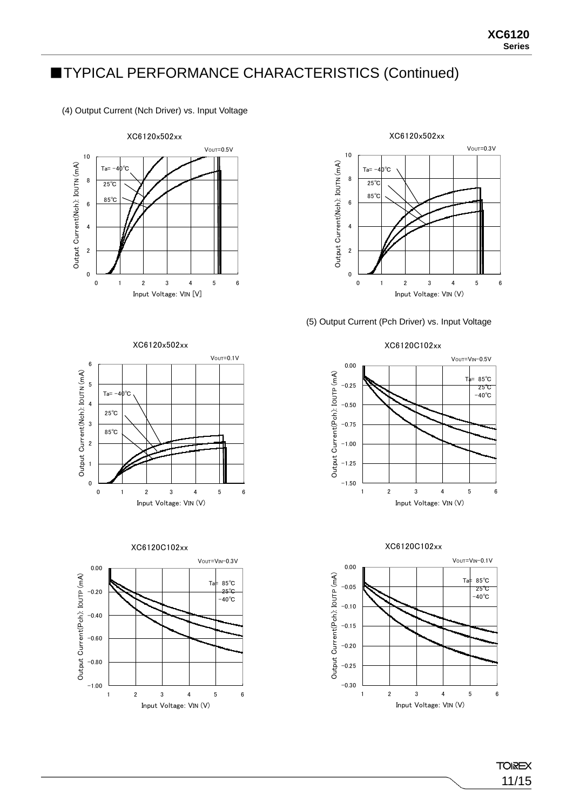### ■TYPICAL PERFORMANCE CHARACTERISTICS (Continued)

(4) Output Current (Nch Driver) vs. Input Voltage





#### (5) Output Current (Pch Driver) vs. Input Voltage











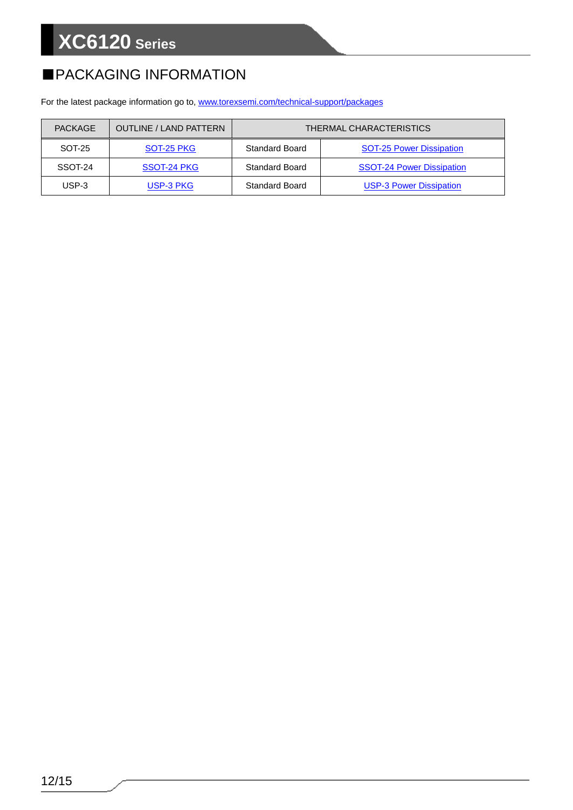### ■PACKAGING INFORMATION

For the latest package information go to, [www.torexsemi.com/technical-support/packages](https://www.torexsemi.com/technical-support/packages/)

| <b>PACKAGE</b> | <b>OUTLINE / LAND PATTERN</b> | THERMAL CHARACTERISTICS |                                  |  |  |  |
|----------------|-------------------------------|-------------------------|----------------------------------|--|--|--|
| SOT-25         | SOT-25 PKG                    | <b>Standard Board</b>   | <b>SOT-25 Power Dissipation</b>  |  |  |  |
| SSOT-24        | SSOT-24 PKG                   | <b>Standard Board</b>   | <b>SSOT-24 Power Dissipation</b> |  |  |  |
| USP-3          | USP-3 PKG                     | <b>Standard Board</b>   | <b>USP-3 Power Dissipation</b>   |  |  |  |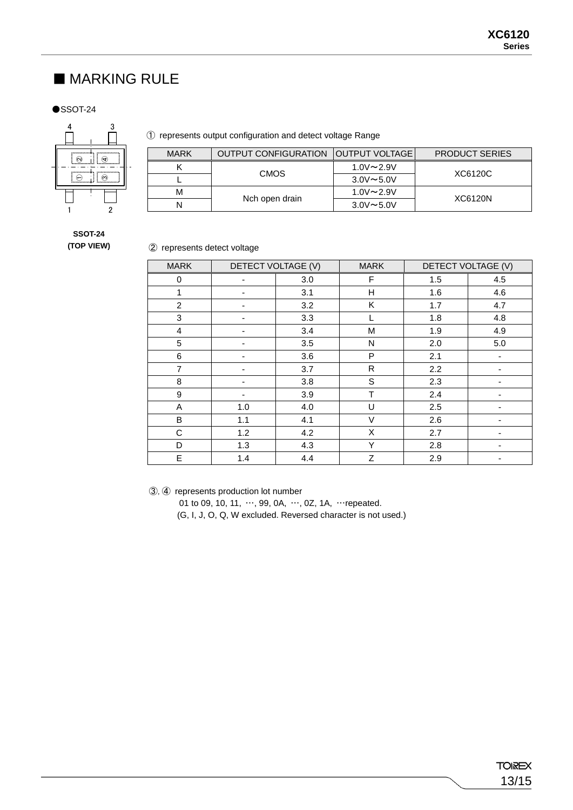#### ■ MARKING RULE

 $\bullet$ SSOT-24



#### ① represents output configuration and detect voltage Range

| <b>MARK</b> | <b>OUTPUT CONFIGURATION   OUTPUT VOLTAGE  </b> |                  | <b>PRODUCT SERIES</b> |  |
|-------------|------------------------------------------------|------------------|-----------------------|--|
|             | <b>CMOS</b>                                    | $1.0V \sim 2.9V$ |                       |  |
|             |                                                | $3.0V \sim 5.0V$ | XC6120C               |  |
| м           | Nch open drain                                 | $1.0V \sim 2.9V$ | XC6120N               |  |
| N           |                                                | $3.0V \sim 5.0V$ |                       |  |

#### **SSOT-24 (TOP VIEW)**

#### ② represents detect voltage

| <b>MARK</b>      | DETECT VOLTAGE (V)       |     | <b>MARK</b> | DETECT VOLTAGE (V) |     |
|------------------|--------------------------|-----|-------------|--------------------|-----|
| 0                |                          | 3.0 | F.          | 1.5                | 4.5 |
| 1                |                          | 3.1 | Н           | 1.6                | 4.6 |
| $\overline{c}$   |                          | 3.2 | Κ           | 1.7                | 4.7 |
| 3                |                          | 3.3 | L           | 1.8                | 4.8 |
| $\overline{4}$   |                          | 3.4 | M           | 1.9                | 4.9 |
| 5                |                          | 3.5 | N           | 2.0                | 5.0 |
| 6                |                          | 3.6 | P           | 2.1                |     |
| $\overline{7}$   |                          | 3.7 | R           | 2.2                |     |
| 8                | $\overline{\phantom{0}}$ | 3.8 | S           | 2.3                | ۰   |
| $\boldsymbol{9}$ |                          | 3.9 | T           | 2.4                |     |
| A                | 1.0                      | 4.0 | U           | 2.5                |     |
| B                | 1.1                      | 4.1 | V           | 2.6                |     |
| C                | 1.2                      | 4.2 | X           | 2.7                |     |
| D                | 1.3                      | 4.3 | Υ           | 2.8                |     |
| E                | 1.4                      | 4.4 | Ζ           | 2.9                |     |

③,④ represents production lot number

01 to 09, 10, 11, …, 99, 0A, …, 0Z, 1A, …repeated.

(G, I, J, O, Q, W excluded. Reversed character is not used.)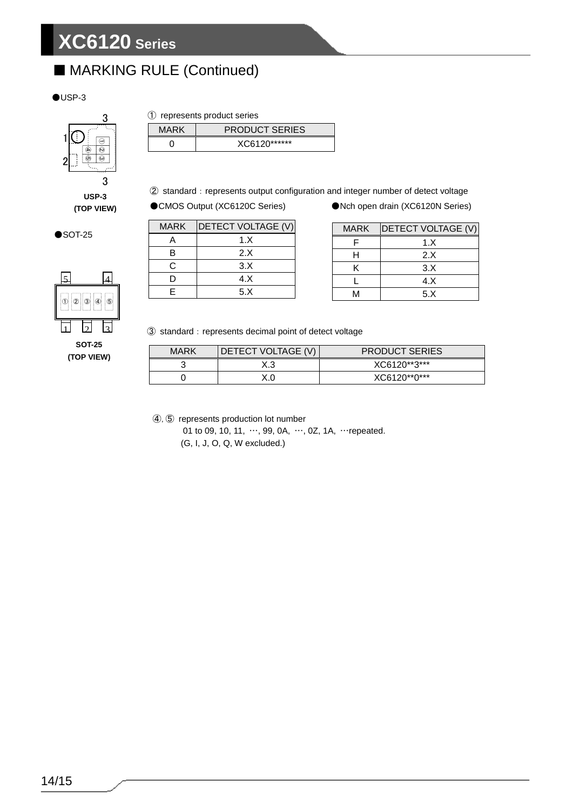### ■ MARKING RULE (Continued)

#### $OUSP-3$



**USP-3**

#### ① represents product series

| MARK | <b>PRODUCT SERIES</b> |
|------|-----------------------|
|      | XC6120******          |

2 standard: represents output configuration and integer number of detect voltage

**(TOP VIEW)** ●CMOS Output (XC6120C Series) ●Nch open drain (XC6120N Series)

| <b>MARK</b> | <b>DETECT VOLTAGE (V)</b> |
|-------------|---------------------------|
|             | 1.X                       |
| в           | 2.X                       |
| C.          | 3.X                       |
| D           | 4. X                      |
| F           | 5.X                       |

| <b>MARK</b> | <b>DETECT VOLTAGE (V)</b> |
|-------------|---------------------------|
|             | 1.X                       |
| H           | 2.8                       |
| ĸ           | 3.X                       |
|             | 4. X                      |
| ٨A          | 5.X                       |

3 standard: represents decimal point of detect voltage

| MARK | DETECT VOLTAGE (V) | <b>PRODUCT SERIES</b> |
|------|--------------------|-----------------------|
|      | X.3                | XC6120**3***          |
|      |                    | XC6120**0***          |

④,⑤ represents production lot number

01 to 09, 10, 11, …, 99, 0A, …, 0Z, 1A, …repeated. (G, I, J, O, Q, W excluded.)

 $\bullet$ SOT-25